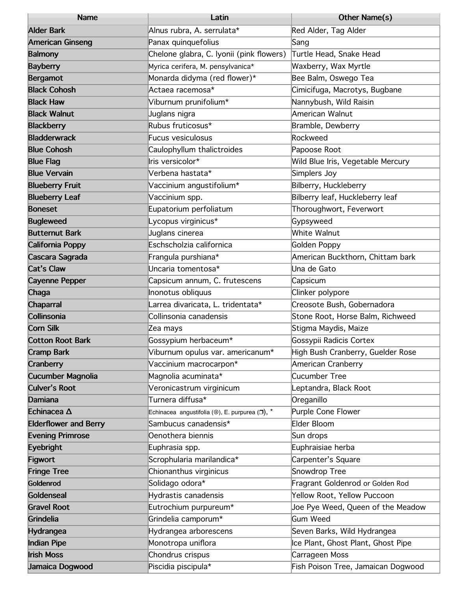| <b>Name</b>                  | Latin                                          | Other Name(s)                      |
|------------------------------|------------------------------------------------|------------------------------------|
| <b>Alder Bark</b>            | Alnus rubra, A. serrulata*                     | Red Alder, Tag Alder               |
| <b>American Ginseng</b>      | Panax quinquefolius                            | Sang                               |
| <b>Balmony</b>               | Chelone glabra, C. Iyonii (pink flowers)       | Turtle Head, Snake Head            |
| <b>Bayberry</b>              | Myrica cerifera, M. pensylvanica*              | Waxberry, Wax Myrtle               |
| <b>Bergamot</b>              | Monarda didyma (red flower)*                   | Bee Balm, Oswego Tea               |
| <b>Black Cohosh</b>          | Actaea racemosa*                               | Cimicifuga, Macrotys, Bugbane      |
| <b>Black Haw</b>             | Viburnum prunifolium*                          | Nannybush, Wild Raisin             |
| <b>Black Walnut</b>          | Juglans nigra                                  | American Walnut                    |
| <b>Blackberry</b>            | Rubus fruticosus*                              | Bramble, Dewberry                  |
| <b>Bladderwrack</b>          | <b>Fucus vesiculosus</b>                       | Rockweed                           |
| <b>Blue Cohosh</b>           | Caulophyllum thalictroides                     | Papoose Root                       |
| <b>Blue Flag</b>             | Iris versicolor*                               | Wild Blue Iris, Vegetable Mercury  |
| <b>Blue Vervain</b>          | Verbena hastata*                               | Simplers Joy                       |
| <b>Blueberry Fruit</b>       | Vaccinium angustifolium*                       | Bilberry, Huckleberry              |
| <b>Blueberry Leaf</b>        | Vaccinium spp.                                 | Bilberry leaf, Huckleberry leaf    |
| <b>Boneset</b>               | Eupatorium perfoliatum                         | Thoroughwort, Feverwort            |
| <b>Bugleweed</b>             | Lycopus virginicus*                            | Gypsyweed                          |
| <b>Butternut Bark</b>        | Juglans cinerea                                | White Walnut                       |
| <b>California Poppy</b>      | Eschscholzia californica                       | Golden Poppy                       |
| Cascara Sagrada              | Frangula purshiana*                            | American Buckthorn, Chittam bark   |
| <b>Cat's Claw</b>            | Uncaria tomentosa*                             | Una de Gato                        |
| <b>Cayenne Pepper</b>        | Capsicum annum, C. frutescens                  | Capsicum                           |
| Chaga                        | Inonotus obliquus                              | Clinker polypore                   |
| <b>Chaparral</b>             | Larrea divaricata, L. tridentata*              | Creosote Bush, Gobernadora         |
| Collinsonia                  | Collinsonia canadensis                         | Stone Root, Horse Balm, Richweed   |
| <b>Corn Silk</b>             | Zea mays                                       | Stigma Maydis, Maize               |
| <b>Cotton Root Bark</b>      | Gossypium herbaceum*                           | Gossypii Radicis Cortex            |
| <b>Cramp Bark</b>            | Viburnum opulus var. americanum*               | High Bush Cranberry, Guelder Rose  |
| Cranberry                    | Vaccinium macrocarpon*                         | American Cranberry                 |
| <b>Cucumber Magnolia</b>     | Magnolia acuminata*                            | Cucumber Tree                      |
| <b>Culver's Root</b>         | Veronicastrum virginicum                       | Leptandra, Black Root              |
| <b>Damiana</b>               | Turnera diffusa*                               | Oreganillo                         |
| Echinacea A                  | Echinacea angustifolia (O), E. purpurea (D), * | Purple Cone Flower                 |
| <b>Elderflower and Berry</b> | Sambucus canadensis*                           | Elder Bloom                        |
| <b>Evening Primrose</b>      | Oenothera biennis                              | Sun drops                          |
| <b>Eyebright</b>             | Euphrasia spp.                                 | Euphraisiae herba                  |
| <b>Figwort</b>               | Scrophularia marilandica*                      | Carpenter's Square                 |
| <b>Fringe Tree</b>           | Chionanthus virginicus                         | Snowdrop Tree                      |
| Goldenrod                    | Solidago odora*                                | Fragrant Goldenrod or Golden Rod   |
| Goldenseal                   | Hydrastis canadensis                           | Yellow Root, Yellow Puccoon        |
| <b>Gravel Root</b>           | Eutrochium purpureum*                          | Joe Pye Weed, Queen of the Meadow  |
| Grindelia                    | Grindelia camporum*                            | Gum Weed                           |
| Hydrangea                    | Hydrangea arborescens                          | Seven Barks, Wild Hydrangea        |
| <b>Indian Pipe</b>           | Monotropa uniflora                             | Ice Plant, Ghost Plant, Ghost Pipe |
| <b>Irish Moss</b>            | Chondrus crispus                               | Carrageen Moss                     |
| Jamaica Dogwood              | Piscidia piscipula*                            | Fish Poison Tree, Jamaican Dogwood |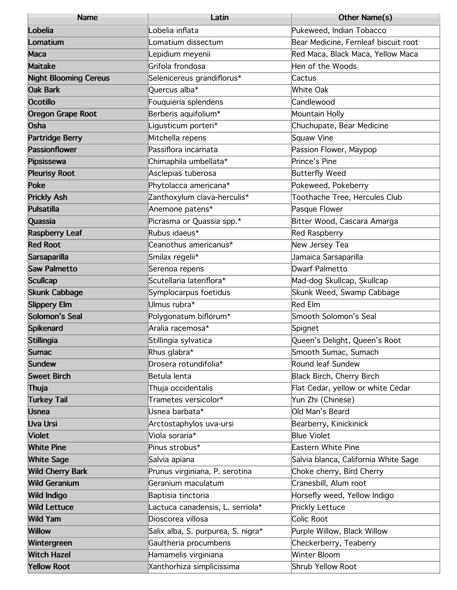| <b>Name</b>                  | Latin                              | Other Name(s)                        |
|------------------------------|------------------------------------|--------------------------------------|
| Lobelia                      | ∟obelia inflata                    | Pukeweed, Indian Tobacco             |
| Lomatium                     | omatium dissectum                  | Bear Medicine, Fernleaf biscuit root |
| Maca                         | epidium meyenii                    | Red Maca, Black Maca, Yellow Maca    |
| <b>Maitake</b>               | Grifola frondosa                   | Hen of the Woods                     |
| <b>Night Blooming Cereus</b> | Selenicereus grandiflorus*         | Cactus                               |
| <b>Oak Bark</b>              | Quercus alba*                      | <b>White Oak</b>                     |
| <b>Ocotillo</b>              | Fouquieria splendens               | Candlewood                           |
| <b>Oregon Grape Root</b>     | Berberis aquifolium*               | Mountain Holly                       |
| Osha                         | Ligusticum porteri*                | Chuchupate, Bear Medicine            |
| <b>Partridge Berry</b>       | Mitchella repens                   | <b>Squaw Vine</b>                    |
| <b>Passionflower</b>         | Passiflora incarnata               | Passion Flower, Maypop               |
| Pipsissewa                   | Chimaphila umbellata*              | Prince's Pine                        |
| <b>Pleurisy Root</b>         | Asclepias tuberosa                 | <b>Butterfly Weed</b>                |
| <b>Poke</b>                  | Phytolacca americana*              | Pokeweed, Pokeberry                  |
| <b>Prickly Ash</b>           | Zanthoxylum clava-herculis*        | Toothache Tree, Hercules Club        |
| <b>Pulsatilla</b>            | Anemone patens*                    | Pasque Flower                        |
| Quassia                      | Picrasma or Quassia spp.*          | Bitter Wood, Cascara Amarga          |
| <b>Raspberry Leaf</b>        | Rubus idaeus*                      | <b>Red Raspberry</b>                 |
| <b>Red Root</b>              | Ceanothus americanus*              | New Jersey Tea                       |
| Sarsaparilla                 | Smilax regelii*                    | Jamaica Sarsaparilla                 |
| <b>Saw Palmetto</b>          | Serenoa repens                     | Dwarf Palmetto                       |
| <b>Scullcap</b>              | Scutellaria lateriflora*           | Mad-dog Skullcap, Skullcap           |
| <b>Skunk Cabbage</b>         | Symplocarpus foetidus              | Skunk Weed, Swamp Cabbage            |
| <b>Slippery Elm</b>          | Ulmus rubra*                       | <b>Red Elm</b>                       |
| Solomon's Seal               | Polygonatum biflorum*              | Smooth Solomon's Seal                |
| Spikenard                    | Aralia racemosa*                   | Spignet                              |
| <b>Stillingia</b>            | Stillingia sylvatica               | Queen's Delight, Queen's Root        |
| <b>Sumac</b>                 | Rhus glabra*                       | Smooth Sumac, Sumach                 |
| <b>Sundew</b>                | Drosera rotundifolia*              | Round leaf Sundew                    |
| <b>Sweet Birch</b>           | Betula lenta                       | <b>Black Birch, Cherry Birch</b>     |
| Thuja                        | Thuja occidentalis                 | Flat Cedar, yellow or white Cedar    |
| <b>Turkey Tail</b>           | Trametes versicolor*               | Yun Zhi (Chinese)                    |
| <b>Usnea</b>                 | Usnea barbata*                     | Old Man's Beard                      |
| <b>Uva Ursi</b>              | Arctostaphylos uva-ursi            | Bearberry, Kinickinick               |
| <b>Violet</b>                | Viola soraria*                     | <b>Blue Violet</b>                   |
| <b>White Pine</b>            | Pinus strobus*                     | <b>Eastern White Pine</b>            |
| <b>White Sage</b>            | Salvia apiana                      | Salvia blanca, California White Sage |
| <b>Wild Cherry Bark</b>      | Prunus virginiana, P. serotina     | Choke cherry, Bird Cherry            |
| <b>Wild Geranium</b>         | Geranium maculatum                 | Cranesbill, Alum root                |
| <b>Wild Indigo</b>           | Baptisia tinctoria                 | Horsefly weed, Yellow Indigo         |
| <b>Wild Lettuce</b>          | Lactuca canadensis, L. serriola*   | <b>Prickly Lettuce</b>               |
| <b>Wild Yam</b>              | Dioscorea villosa                  | Colic Root                           |
| <b>Willow</b>                | Salix alba, S. purpurea, S. nigra* | Purple Willow, Black Willow          |
| Wintergreen                  | Gaultheria procumbens              | Checkerberry, Teaberry               |
| <b>Witch Hazel</b>           | Hamamelis virginiana               | <b>Winter Bloom</b>                  |
| <b>Yellow Root</b>           | Xanthorhiza simplicissima          | Shrub Yellow Root                    |